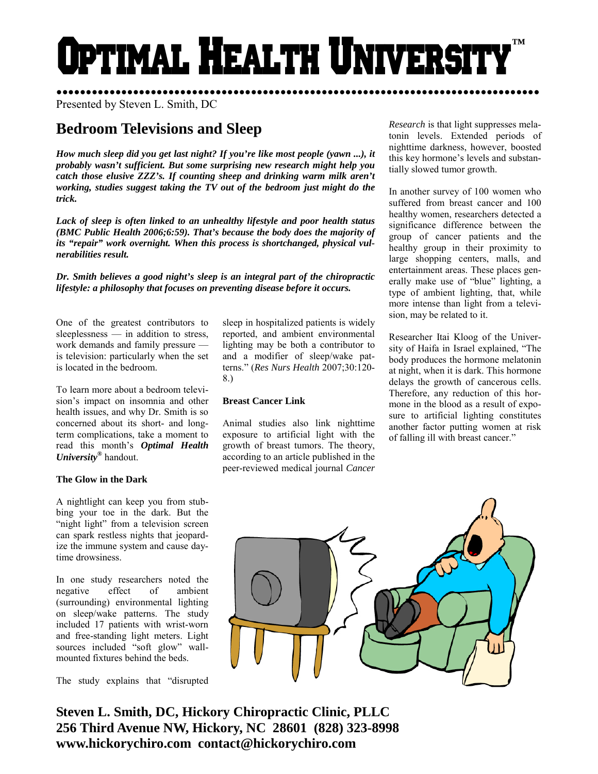# DTIMAL HEALTH UNIVERS **™**

●●●●●●●●●●●●●●●●●●●●●●●●●●●●●●●●●●●●●●●●●●●●●●●●●●●●●●●●●●●●●●●●●●●●●●●●●●●●●●●●●● Presented by Steven L. Smith, DC

# **Bedroom Televisions and Sleep**

*How much sleep did you get last night? If you're like most people (yawn ...), it probably wasn't sufficient. But some surprising new research might help you catch those elusive ZZZ's. If counting sheep and drinking warm milk aren't working, studies suggest taking the TV out of the bedroom just might do the trick.* 

*Lack of sleep is often linked to an unhealthy lifestyle and poor health status (BMC Public Health 2006;6:59). That's because the body does the majority of its "repair" work overnight. When this process is shortchanged, physical vulnerabilities result.* 

*Dr. Smith believes a good night's sleep is an integral part of the chiropractic lifestyle: a philosophy that focuses on preventing disease before it occurs.* 

One of the greatest contributors to sleeplessness — in addition to stress, work demands and family pressure is television: particularly when the set is located in the bedroom.

To learn more about a bedroom television's impact on insomnia and other health issues, and why Dr. Smith is so concerned about its short- and longterm complications, take a moment to read this month's *Optimal Health University***®** handout.

### **The Glow in the Dark**

A nightlight can keep you from stubbing your toe in the dark. But the "night light" from a television screen can spark restless nights that jeopardize the immune system and cause daytime drowsiness.

In one study researchers noted the negative effect of ambient (surrounding) environmental lighting on sleep/wake patterns. The study included 17 patients with wrist-worn and free-standing light meters. Light sources included "soft glow" wallmounted fixtures behind the beds.

The study explains that "disrupted

sleep in hospitalized patients is widely reported, and ambient environmental lighting may be both a contributor to and a modifier of sleep/wake patterns." (*Res Nurs Health* 2007;30:120- 8.)

# **Breast Cancer Link**

Animal studies also link nighttime exposure to artificial light with the growth of breast tumors. The theory, according to an article published in the peer-reviewed medical journal *Cancer*  *Research* is that light suppresses melatonin levels. Extended periods of nighttime darkness, however, boosted this key hormone's levels and substantially slowed tumor growth.

In another survey of 100 women who suffered from breast cancer and 100 healthy women, researchers detected a significance difference between the group of cancer patients and the healthy group in their proximity to large shopping centers, malls, and entertainment areas. These places generally make use of "blue" lighting, a type of ambient lighting, that, while more intense than light from a television, may be related to it.

Researcher Itai Kloog of the University of Haifa in Israel explained, "The body produces the hormone melatonin at night, when it is dark. This hormone delays the growth of cancerous cells. Therefore, any reduction of this hormone in the blood as a result of exposure to artificial lighting constitutes another factor putting women at risk of falling ill with breast cancer."



**Steven L. Smith, DC, Hickory Chiropractic Clinic, PLLC 256 Third Avenue NW, Hickory, NC 28601 (828) 323-8998 www.hickorychiro.com contact@hickorychiro.com**